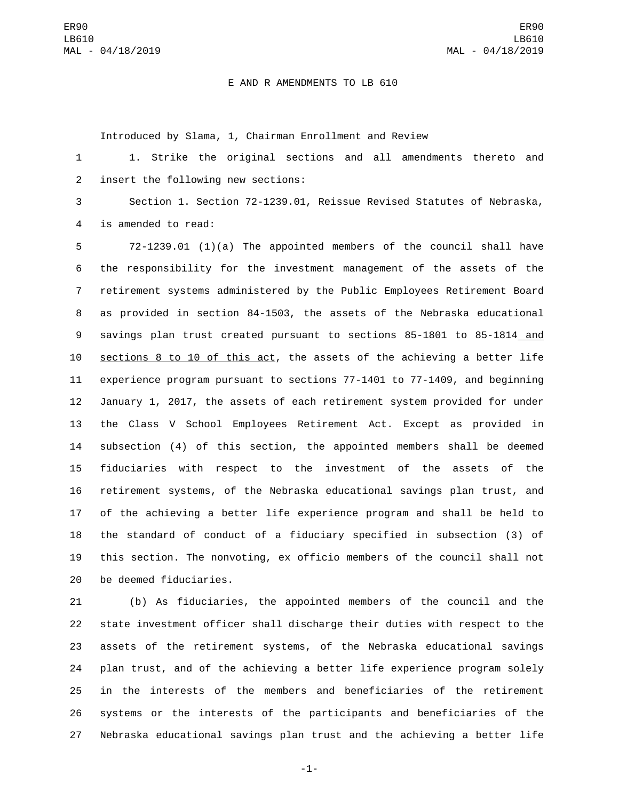## E AND R AMENDMENTS TO LB 610

Introduced by Slama, 1, Chairman Enrollment and Review

 1. Strike the original sections and all amendments thereto and 2 insert the following new sections:

 Section 1. Section 72-1239.01, Reissue Revised Statutes of Nebraska, 4 is amended to read:

 72-1239.01 (1)(a) The appointed members of the council shall have the responsibility for the investment management of the assets of the retirement systems administered by the Public Employees Retirement Board as provided in section 84-1503, the assets of the Nebraska educational savings plan trust created pursuant to sections 85-1801 to 85-1814 and sections 8 to 10 of this act, the assets of the achieving a better life experience program pursuant to sections 77-1401 to 77-1409, and beginning January 1, 2017, the assets of each retirement system provided for under the Class V School Employees Retirement Act. Except as provided in subsection (4) of this section, the appointed members shall be deemed fiduciaries with respect to the investment of the assets of the retirement systems, of the Nebraska educational savings plan trust, and of the achieving a better life experience program and shall be held to the standard of conduct of a fiduciary specified in subsection (3) of this section. The nonvoting, ex officio members of the council shall not 20 be deemed fiduciaries.

 (b) As fiduciaries, the appointed members of the council and the state investment officer shall discharge their duties with respect to the assets of the retirement systems, of the Nebraska educational savings plan trust, and of the achieving a better life experience program solely in the interests of the members and beneficiaries of the retirement systems or the interests of the participants and beneficiaries of the Nebraska educational savings plan trust and the achieving a better life

-1-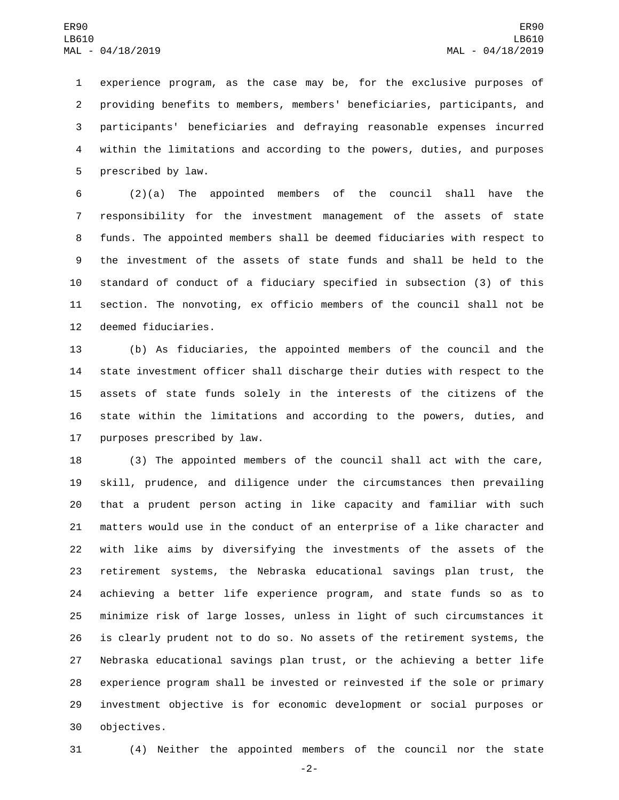experience program, as the case may be, for the exclusive purposes of providing benefits to members, members' beneficiaries, participants, and participants' beneficiaries and defraying reasonable expenses incurred within the limitations and according to the powers, duties, and purposes 5 prescribed by law.

 (2)(a) The appointed members of the council shall have the responsibility for the investment management of the assets of state funds. The appointed members shall be deemed fiduciaries with respect to the investment of the assets of state funds and shall be held to the standard of conduct of a fiduciary specified in subsection (3) of this section. The nonvoting, ex officio members of the council shall not be 12 deemed fiduciaries.

 (b) As fiduciaries, the appointed members of the council and the state investment officer shall discharge their duties with respect to the assets of state funds solely in the interests of the citizens of the state within the limitations and according to the powers, duties, and 17 purposes prescribed by law.

 (3) The appointed members of the council shall act with the care, skill, prudence, and diligence under the circumstances then prevailing that a prudent person acting in like capacity and familiar with such matters would use in the conduct of an enterprise of a like character and with like aims by diversifying the investments of the assets of the retirement systems, the Nebraska educational savings plan trust, the achieving a better life experience program, and state funds so as to minimize risk of large losses, unless in light of such circumstances it is clearly prudent not to do so. No assets of the retirement systems, the Nebraska educational savings plan trust, or the achieving a better life experience program shall be invested or reinvested if the sole or primary investment objective is for economic development or social purposes or 30 objectives.

(4) Neither the appointed members of the council nor the state

-2-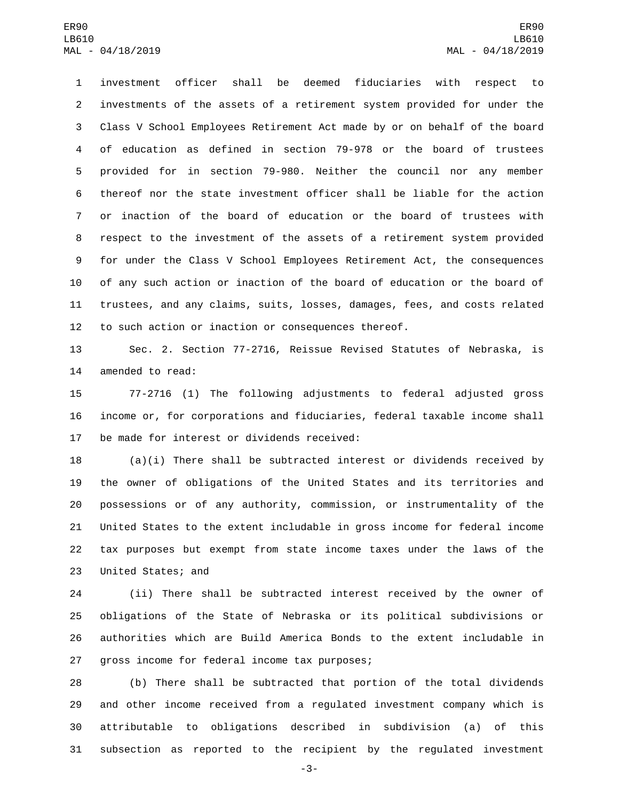investment officer shall be deemed fiduciaries with respect to investments of the assets of a retirement system provided for under the Class V School Employees Retirement Act made by or on behalf of the board of education as defined in section 79-978 or the board of trustees provided for in section 79-980. Neither the council nor any member thereof nor the state investment officer shall be liable for the action or inaction of the board of education or the board of trustees with respect to the investment of the assets of a retirement system provided for under the Class V School Employees Retirement Act, the consequences of any such action or inaction of the board of education or the board of trustees, and any claims, suits, losses, damages, fees, and costs related to such action or inaction or consequences thereof.

 Sec. 2. Section 77-2716, Reissue Revised Statutes of Nebraska, is 14 amended to read:

 77-2716 (1) The following adjustments to federal adjusted gross income or, for corporations and fiduciaries, federal taxable income shall 17 be made for interest or dividends received:

 (a)(i) There shall be subtracted interest or dividends received by the owner of obligations of the United States and its territories and possessions or of any authority, commission, or instrumentality of the United States to the extent includable in gross income for federal income tax purposes but exempt from state income taxes under the laws of the 23 United States; and

 (ii) There shall be subtracted interest received by the owner of obligations of the State of Nebraska or its political subdivisions or authorities which are Build America Bonds to the extent includable in 27 gross income for federal income tax purposes;

 (b) There shall be subtracted that portion of the total dividends and other income received from a regulated investment company which is attributable to obligations described in subdivision (a) of this subsection as reported to the recipient by the regulated investment

-3-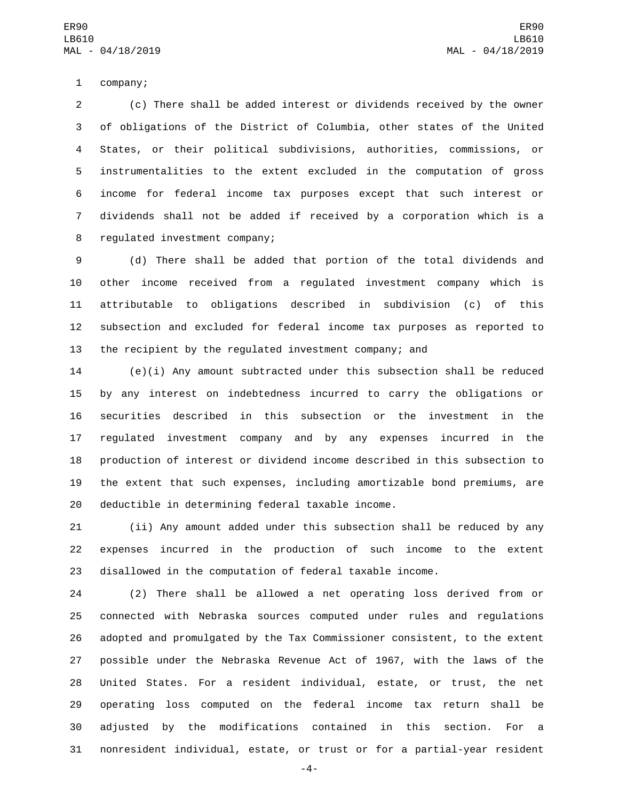1 company;

 (c) There shall be added interest or dividends received by the owner of obligations of the District of Columbia, other states of the United States, or their political subdivisions, authorities, commissions, or instrumentalities to the extent excluded in the computation of gross income for federal income tax purposes except that such interest or dividends shall not be added if received by a corporation which is a 8 regulated investment company;

 (d) There shall be added that portion of the total dividends and other income received from a regulated investment company which is attributable to obligations described in subdivision (c) of this subsection and excluded for federal income tax purposes as reported to the recipient by the regulated investment company; and

 (e)(i) Any amount subtracted under this subsection shall be reduced by any interest on indebtedness incurred to carry the obligations or securities described in this subsection or the investment in the regulated investment company and by any expenses incurred in the production of interest or dividend income described in this subsection to the extent that such expenses, including amortizable bond premiums, are 20 deductible in determining federal taxable income.

 (ii) Any amount added under this subsection shall be reduced by any expenses incurred in the production of such income to the extent disallowed in the computation of federal taxable income.

 (2) There shall be allowed a net operating loss derived from or connected with Nebraska sources computed under rules and regulations adopted and promulgated by the Tax Commissioner consistent, to the extent possible under the Nebraska Revenue Act of 1967, with the laws of the United States. For a resident individual, estate, or trust, the net operating loss computed on the federal income tax return shall be adjusted by the modifications contained in this section. For a nonresident individual, estate, or trust or for a partial-year resident

-4-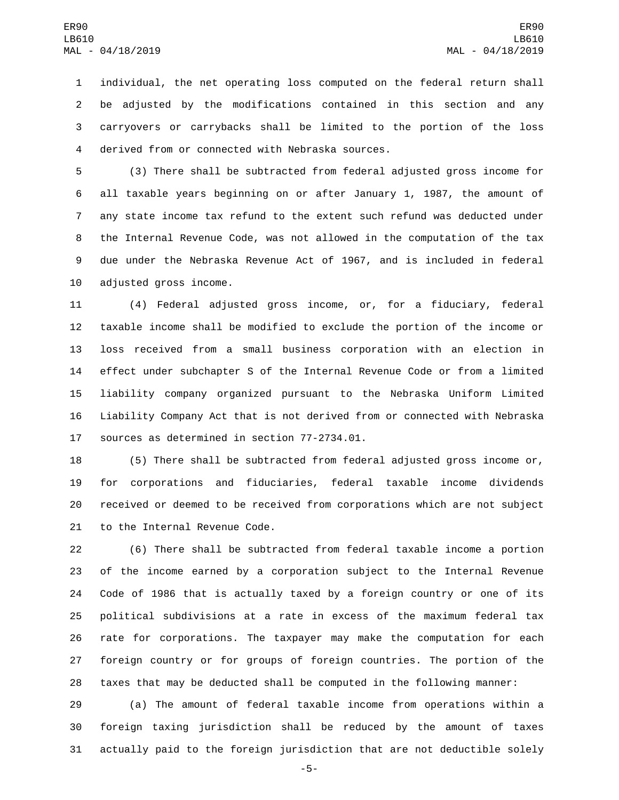individual, the net operating loss computed on the federal return shall be adjusted by the modifications contained in this section and any carryovers or carrybacks shall be limited to the portion of the loss derived from or connected with Nebraska sources.4

 (3) There shall be subtracted from federal adjusted gross income for all taxable years beginning on or after January 1, 1987, the amount of any state income tax refund to the extent such refund was deducted under the Internal Revenue Code, was not allowed in the computation of the tax due under the Nebraska Revenue Act of 1967, and is included in federal 10 adjusted gross income.

 (4) Federal adjusted gross income, or, for a fiduciary, federal taxable income shall be modified to exclude the portion of the income or loss received from a small business corporation with an election in effect under subchapter S of the Internal Revenue Code or from a limited liability company organized pursuant to the Nebraska Uniform Limited Liability Company Act that is not derived from or connected with Nebraska 17 sources as determined in section 77-2734.01.

 (5) There shall be subtracted from federal adjusted gross income or, for corporations and fiduciaries, federal taxable income dividends received or deemed to be received from corporations which are not subject 21 to the Internal Revenue Code.

 (6) There shall be subtracted from federal taxable income a portion of the income earned by a corporation subject to the Internal Revenue Code of 1986 that is actually taxed by a foreign country or one of its political subdivisions at a rate in excess of the maximum federal tax rate for corporations. The taxpayer may make the computation for each foreign country or for groups of foreign countries. The portion of the taxes that may be deducted shall be computed in the following manner:

 (a) The amount of federal taxable income from operations within a foreign taxing jurisdiction shall be reduced by the amount of taxes actually paid to the foreign jurisdiction that are not deductible solely

-5-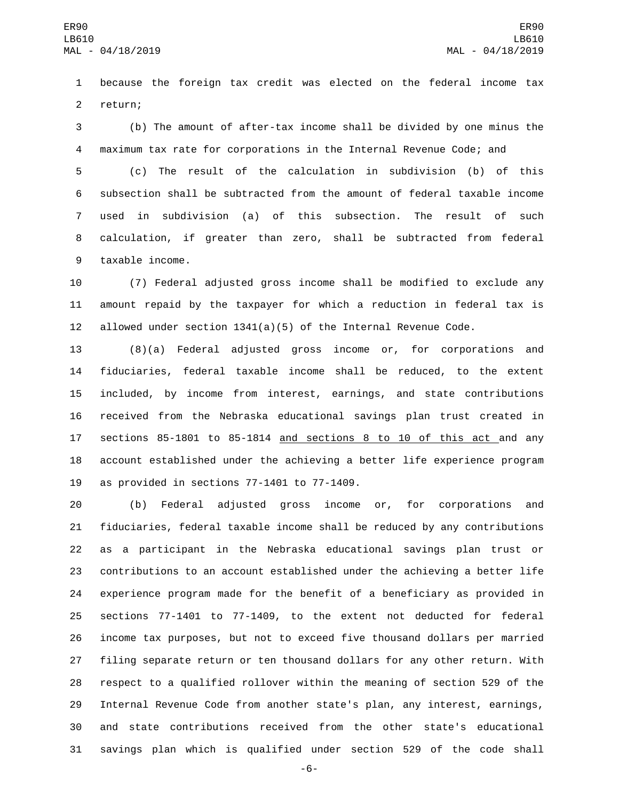because the foreign tax credit was elected on the federal income tax 2 return;

 (b) The amount of after-tax income shall be divided by one minus the maximum tax rate for corporations in the Internal Revenue Code; and

 (c) The result of the calculation in subdivision (b) of this subsection shall be subtracted from the amount of federal taxable income used in subdivision (a) of this subsection. The result of such calculation, if greater than zero, shall be subtracted from federal 9 taxable income.

 (7) Federal adjusted gross income shall be modified to exclude any amount repaid by the taxpayer for which a reduction in federal tax is 12 allowed under section  $1341(a)(5)$  of the Internal Revenue Code.

 (8)(a) Federal adjusted gross income or, for corporations and fiduciaries, federal taxable income shall be reduced, to the extent included, by income from interest, earnings, and state contributions received from the Nebraska educational savings plan trust created in sections 85-1801 to 85-1814 and sections 8 to 10 of this act and any account established under the achieving a better life experience program 19 as provided in sections  $77-1401$  to  $77-1409$ .

 (b) Federal adjusted gross income or, for corporations and fiduciaries, federal taxable income shall be reduced by any contributions as a participant in the Nebraska educational savings plan trust or contributions to an account established under the achieving a better life experience program made for the benefit of a beneficiary as provided in sections 77-1401 to 77-1409, to the extent not deducted for federal income tax purposes, but not to exceed five thousand dollars per married filing separate return or ten thousand dollars for any other return. With respect to a qualified rollover within the meaning of section 529 of the Internal Revenue Code from another state's plan, any interest, earnings, and state contributions received from the other state's educational savings plan which is qualified under section 529 of the code shall

-6-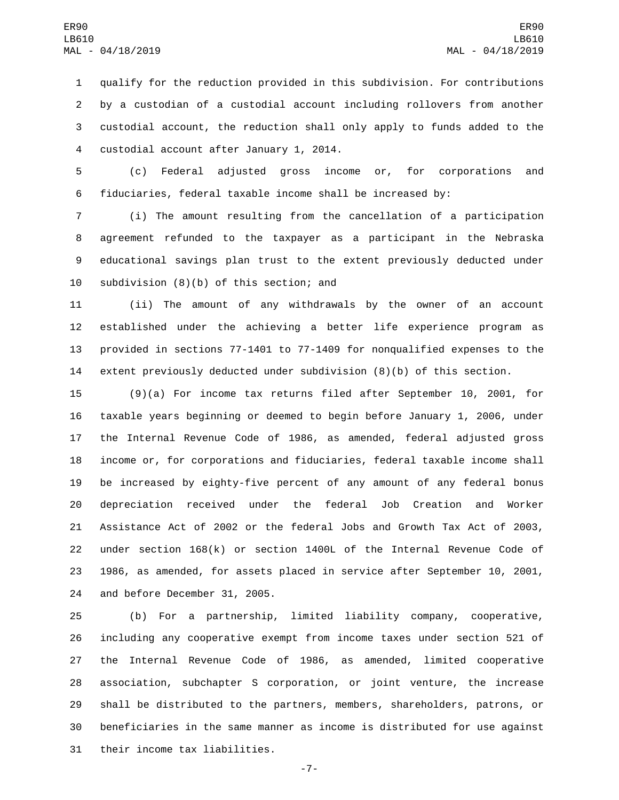qualify for the reduction provided in this subdivision. For contributions by a custodian of a custodial account including rollovers from another custodial account, the reduction shall only apply to funds added to the 4 custodial account after January 1, 2014.

 (c) Federal adjusted gross income or, for corporations and fiduciaries, federal taxable income shall be increased by:

 (i) The amount resulting from the cancellation of a participation agreement refunded to the taxpayer as a participant in the Nebraska educational savings plan trust to the extent previously deducted under 10 subdivision  $(8)(b)$  of this section; and

 (ii) The amount of any withdrawals by the owner of an account established under the achieving a better life experience program as provided in sections 77-1401 to 77-1409 for nonqualified expenses to the extent previously deducted under subdivision (8)(b) of this section.

 (9)(a) For income tax returns filed after September 10, 2001, for taxable years beginning or deemed to begin before January 1, 2006, under the Internal Revenue Code of 1986, as amended, federal adjusted gross income or, for corporations and fiduciaries, federal taxable income shall be increased by eighty-five percent of any amount of any federal bonus depreciation received under the federal Job Creation and Worker Assistance Act of 2002 or the federal Jobs and Growth Tax Act of 2003, under section 168(k) or section 1400L of the Internal Revenue Code of 1986, as amended, for assets placed in service after September 10, 2001, 24 and before December 31, 2005.

 (b) For a partnership, limited liability company, cooperative, including any cooperative exempt from income taxes under section 521 of the Internal Revenue Code of 1986, as amended, limited cooperative association, subchapter S corporation, or joint venture, the increase shall be distributed to the partners, members, shareholders, patrons, or beneficiaries in the same manner as income is distributed for use against 31 their income tax liabilities.

-7-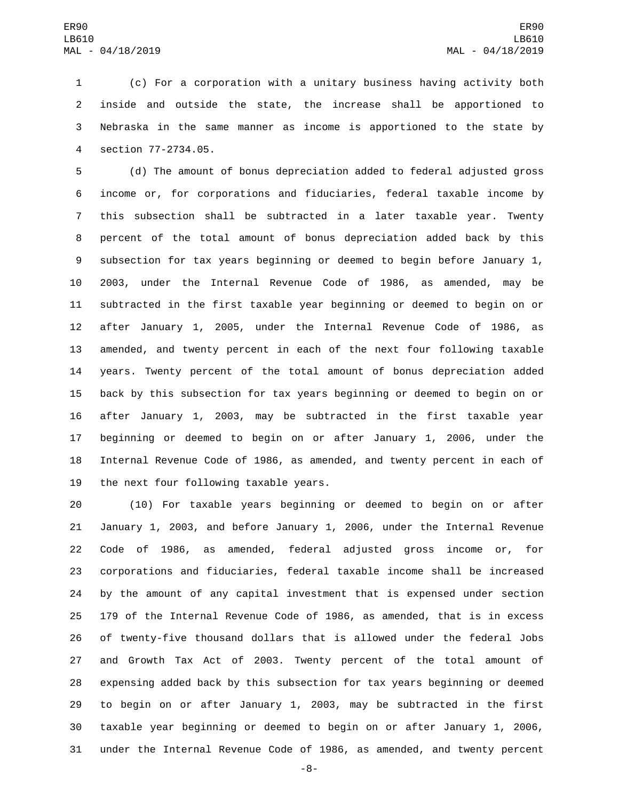(c) For a corporation with a unitary business having activity both inside and outside the state, the increase shall be apportioned to Nebraska in the same manner as income is apportioned to the state by section 77-2734.05.4

 (d) The amount of bonus depreciation added to federal adjusted gross income or, for corporations and fiduciaries, federal taxable income by this subsection shall be subtracted in a later taxable year. Twenty percent of the total amount of bonus depreciation added back by this subsection for tax years beginning or deemed to begin before January 1, 2003, under the Internal Revenue Code of 1986, as amended, may be subtracted in the first taxable year beginning or deemed to begin on or after January 1, 2005, under the Internal Revenue Code of 1986, as amended, and twenty percent in each of the next four following taxable years. Twenty percent of the total amount of bonus depreciation added back by this subsection for tax years beginning or deemed to begin on or after January 1, 2003, may be subtracted in the first taxable year beginning or deemed to begin on or after January 1, 2006, under the Internal Revenue Code of 1986, as amended, and twenty percent in each of 19 the next four following taxable years.

 (10) For taxable years beginning or deemed to begin on or after January 1, 2003, and before January 1, 2006, under the Internal Revenue Code of 1986, as amended, federal adjusted gross income or, for corporations and fiduciaries, federal taxable income shall be increased by the amount of any capital investment that is expensed under section 179 of the Internal Revenue Code of 1986, as amended, that is in excess of twenty-five thousand dollars that is allowed under the federal Jobs and Growth Tax Act of 2003. Twenty percent of the total amount of expensing added back by this subsection for tax years beginning or deemed to begin on or after January 1, 2003, may be subtracted in the first taxable year beginning or deemed to begin on or after January 1, 2006, under the Internal Revenue Code of 1986, as amended, and twenty percent

-8-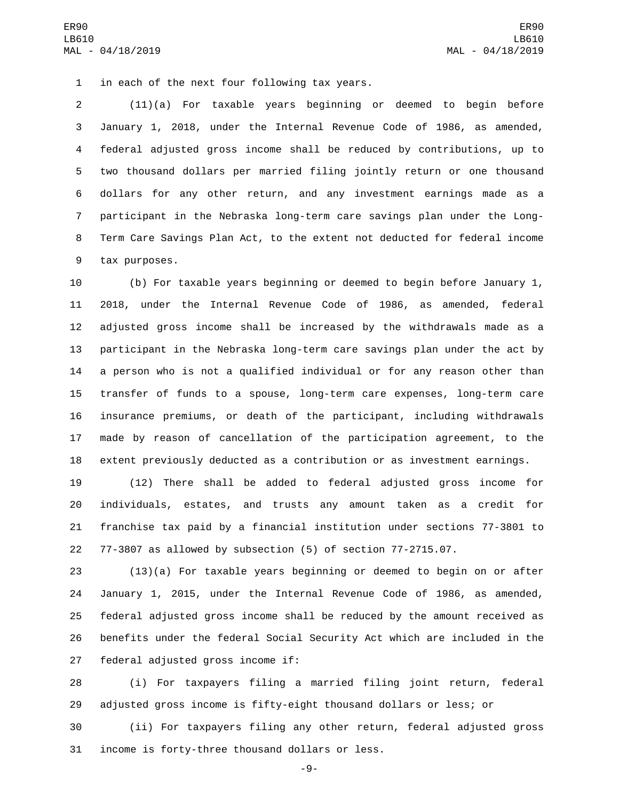1 in each of the next four following tax years.

 (11)(a) For taxable years beginning or deemed to begin before January 1, 2018, under the Internal Revenue Code of 1986, as amended, federal adjusted gross income shall be reduced by contributions, up to two thousand dollars per married filing jointly return or one thousand dollars for any other return, and any investment earnings made as a participant in the Nebraska long-term care savings plan under the Long- Term Care Savings Plan Act, to the extent not deducted for federal income 9 tax purposes.

 (b) For taxable years beginning or deemed to begin before January 1, 2018, under the Internal Revenue Code of 1986, as amended, federal adjusted gross income shall be increased by the withdrawals made as a participant in the Nebraska long-term care savings plan under the act by a person who is not a qualified individual or for any reason other than transfer of funds to a spouse, long-term care expenses, long-term care insurance premiums, or death of the participant, including withdrawals made by reason of cancellation of the participation agreement, to the extent previously deducted as a contribution or as investment earnings.

 (12) There shall be added to federal adjusted gross income for individuals, estates, and trusts any amount taken as a credit for franchise tax paid by a financial institution under sections 77-3801 to 77-3807 as allowed by subsection (5) of section 77-2715.07.

 (13)(a) For taxable years beginning or deemed to begin on or after January 1, 2015, under the Internal Revenue Code of 1986, as amended, federal adjusted gross income shall be reduced by the amount received as benefits under the federal Social Security Act which are included in the 27 federal adjusted gross income if:

 (i) For taxpayers filing a married filing joint return, federal adjusted gross income is fifty-eight thousand dollars or less; or

 (ii) For taxpayers filing any other return, federal adjusted gross 31 income is forty-three thousand dollars or less.

-9-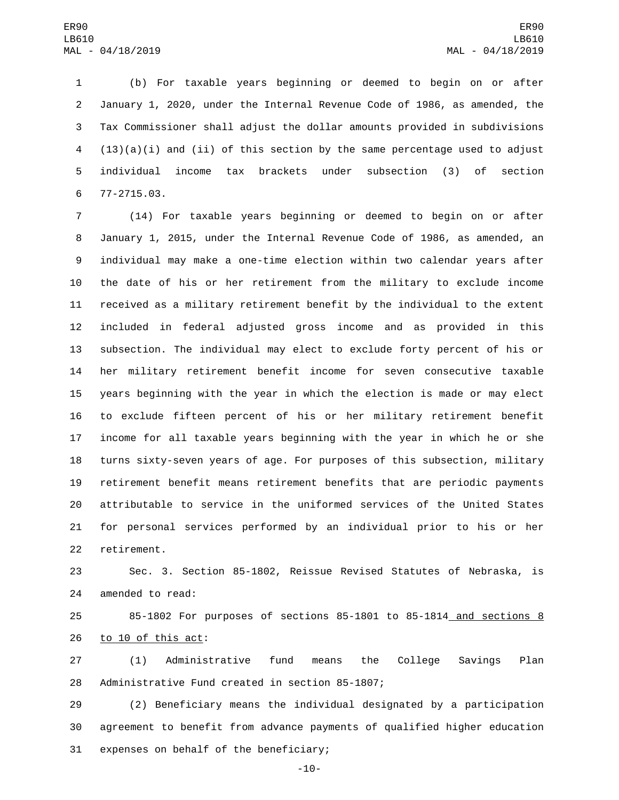(b) For taxable years beginning or deemed to begin on or after January 1, 2020, under the Internal Revenue Code of 1986, as amended, the Tax Commissioner shall adjust the dollar amounts provided in subdivisions (13)(a)(i) and (ii) of this section by the same percentage used to adjust individual income tax brackets under subsection (3) of section 77-2715.03.6

 (14) For taxable years beginning or deemed to begin on or after January 1, 2015, under the Internal Revenue Code of 1986, as amended, an individual may make a one-time election within two calendar years after the date of his or her retirement from the military to exclude income received as a military retirement benefit by the individual to the extent included in federal adjusted gross income and as provided in this subsection. The individual may elect to exclude forty percent of his or her military retirement benefit income for seven consecutive taxable years beginning with the year in which the election is made or may elect to exclude fifteen percent of his or her military retirement benefit income for all taxable years beginning with the year in which he or she turns sixty-seven years of age. For purposes of this subsection, military retirement benefit means retirement benefits that are periodic payments attributable to service in the uniformed services of the United States for personal services performed by an individual prior to his or her 22 retirement.

 Sec. 3. Section 85-1802, Reissue Revised Statutes of Nebraska, is 24 amended to read:

 85-1802 For purposes of sections 85-1801 to 85-1814 and sections 8 26 to 10 of this act:

 (1) Administrative fund means the College Savings Plan 28 Administrative Fund created in section 85-1807;

 (2) Beneficiary means the individual designated by a participation agreement to benefit from advance payments of qualified higher education 31 expenses on behalf of the beneficiary;

-10-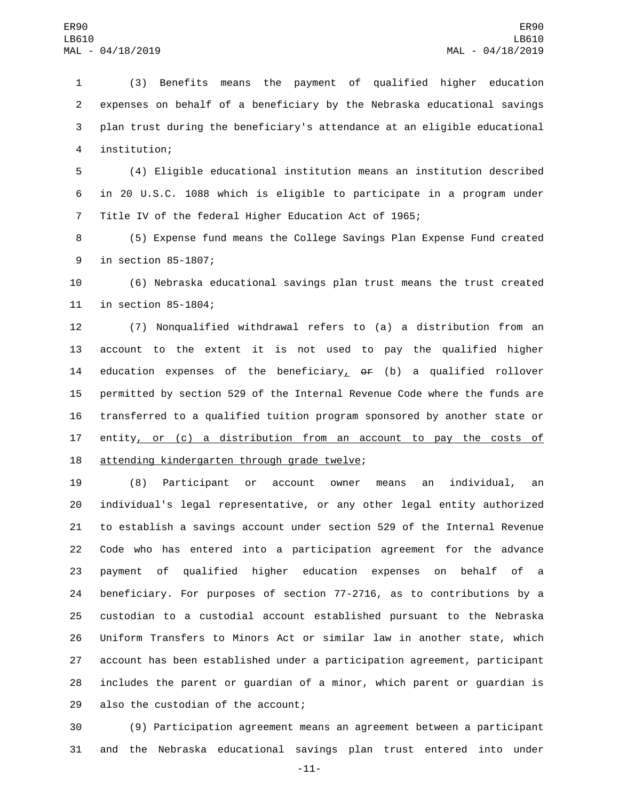(3) Benefits means the payment of qualified higher education expenses on behalf of a beneficiary by the Nebraska educational savings plan trust during the beneficiary's attendance at an eligible educational institution;4

 (4) Eligible educational institution means an institution described in 20 U.S.C. 1088 which is eligible to participate in a program under Title IV of the federal Higher Education Act of 1965;

 (5) Expense fund means the College Savings Plan Expense Fund created 9 in section 85-1807;

 (6) Nebraska educational savings plan trust means the trust created 11 in section 85-1804;

 (7) Nonqualified withdrawal refers to (a) a distribution from an account to the extent it is not used to pay the qualified higher 14 education expenses of the beneficiary<sub> $\perp$ </sub> or (b) a qualified rollover permitted by section 529 of the Internal Revenue Code where the funds are transferred to a qualified tuition program sponsored by another state or 17 entity, or (c) a distribution from an account to pay the costs of 18 attending kindergarten through grade twelve;

 (8) Participant or account owner means an individual, an individual's legal representative, or any other legal entity authorized to establish a savings account under section 529 of the Internal Revenue Code who has entered into a participation agreement for the advance payment of qualified higher education expenses on behalf of a beneficiary. For purposes of section 77-2716, as to contributions by a custodian to a custodial account established pursuant to the Nebraska Uniform Transfers to Minors Act or similar law in another state, which account has been established under a participation agreement, participant includes the parent or guardian of a minor, which parent or guardian is 29 also the custodian of the account;

 (9) Participation agreement means an agreement between a participant and the Nebraska educational savings plan trust entered into under

-11-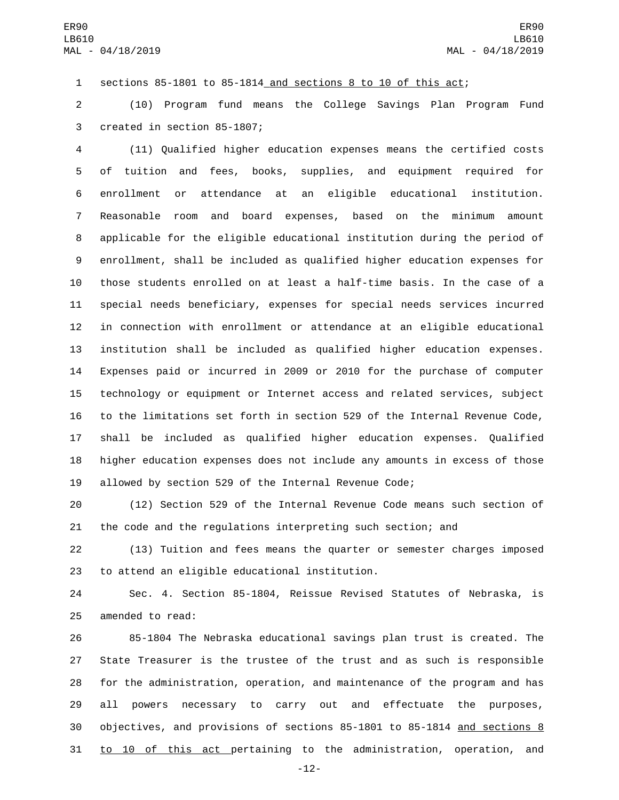sections 85-1801 to 85-1814 and sections 8 to 10 of this act;

 (10) Program fund means the College Savings Plan Program Fund 3 created in section 85-1807;

 (11) Qualified higher education expenses means the certified costs of tuition and fees, books, supplies, and equipment required for enrollment or attendance at an eligible educational institution. Reasonable room and board expenses, based on the minimum amount applicable for the eligible educational institution during the period of enrollment, shall be included as qualified higher education expenses for those students enrolled on at least a half-time basis. In the case of a special needs beneficiary, expenses for special needs services incurred in connection with enrollment or attendance at an eligible educational institution shall be included as qualified higher education expenses. Expenses paid or incurred in 2009 or 2010 for the purchase of computer technology or equipment or Internet access and related services, subject to the limitations set forth in section 529 of the Internal Revenue Code, shall be included as qualified higher education expenses. Qualified higher education expenses does not include any amounts in excess of those allowed by section 529 of the Internal Revenue Code;

 (12) Section 529 of the Internal Revenue Code means such section of the code and the regulations interpreting such section; and

 (13) Tuition and fees means the quarter or semester charges imposed 23 to attend an eligible educational institution.

 Sec. 4. Section 85-1804, Reissue Revised Statutes of Nebraska, is 25 amended to read:

 85-1804 The Nebraska educational savings plan trust is created. The State Treasurer is the trustee of the trust and as such is responsible for the administration, operation, and maintenance of the program and has all powers necessary to carry out and effectuate the purposes, objectives, and provisions of sections 85-1801 to 85-1814 and sections 8 to 10 of this act pertaining to the administration, operation, and

-12-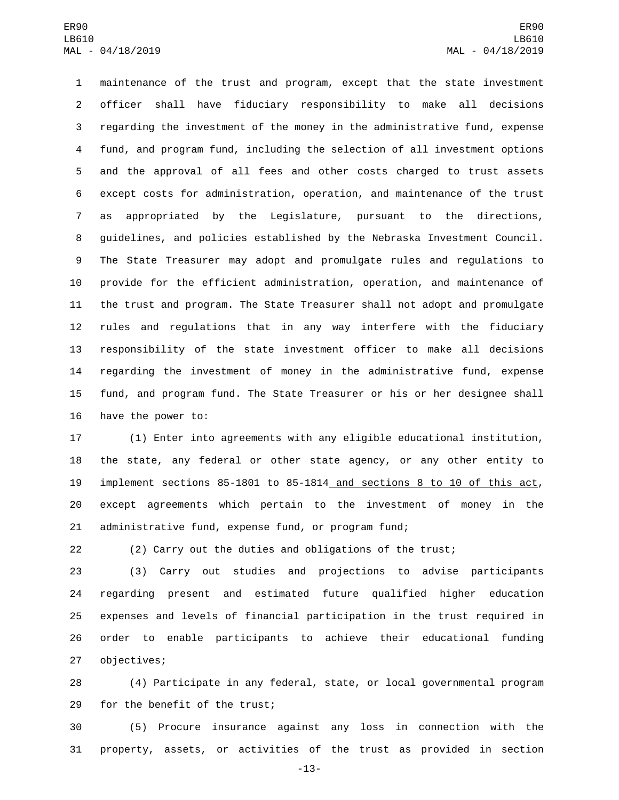maintenance of the trust and program, except that the state investment officer shall have fiduciary responsibility to make all decisions regarding the investment of the money in the administrative fund, expense fund, and program fund, including the selection of all investment options and the approval of all fees and other costs charged to trust assets except costs for administration, operation, and maintenance of the trust as appropriated by the Legislature, pursuant to the directions, guidelines, and policies established by the Nebraska Investment Council. The State Treasurer may adopt and promulgate rules and regulations to provide for the efficient administration, operation, and maintenance of the trust and program. The State Treasurer shall not adopt and promulgate rules and regulations that in any way interfere with the fiduciary responsibility of the state investment officer to make all decisions regarding the investment of money in the administrative fund, expense fund, and program fund. The State Treasurer or his or her designee shall 16 have the power to:

 (1) Enter into agreements with any eligible educational institution, the state, any federal or other state agency, or any other entity to implement sections 85-1801 to 85-1814 and sections 8 to 10 of this act, except agreements which pertain to the investment of money in the administrative fund, expense fund, or program fund;

(2) Carry out the duties and obligations of the trust;

 (3) Carry out studies and projections to advise participants regarding present and estimated future qualified higher education expenses and levels of financial participation in the trust required in order to enable participants to achieve their educational funding 27 objectives;

 (4) Participate in any federal, state, or local governmental program 29 for the benefit of the trust;

 (5) Procure insurance against any loss in connection with the property, assets, or activities of the trust as provided in section

-13-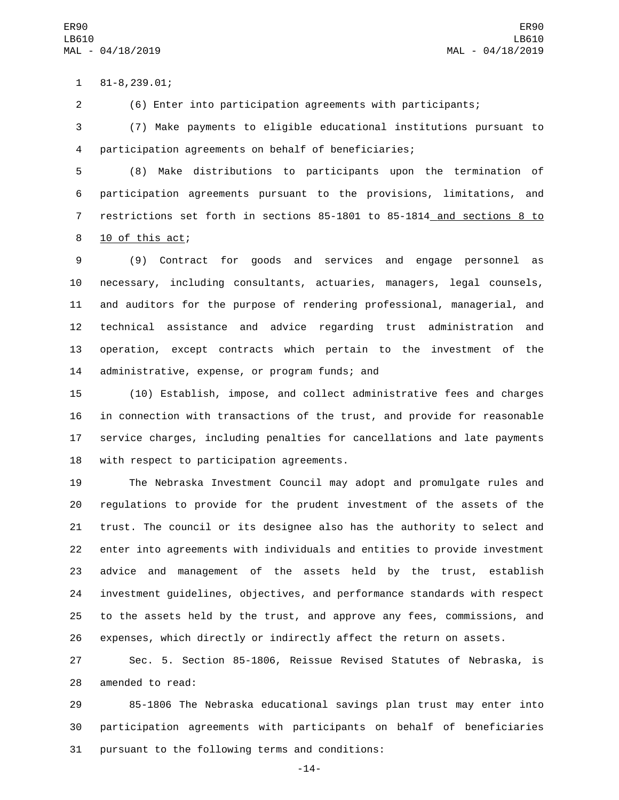81-8,239.01;1

(6) Enter into participation agreements with participants;

 (7) Make payments to eligible educational institutions pursuant to participation agreements on behalf of beneficiaries;

 (8) Make distributions to participants upon the termination of participation agreements pursuant to the provisions, limitations, and restrictions set forth in sections 85-1801 to 85-1814 and sections 8 to 8 10 of this act;

 (9) Contract for goods and services and engage personnel as necessary, including consultants, actuaries, managers, legal counsels, and auditors for the purpose of rendering professional, managerial, and technical assistance and advice regarding trust administration and operation, except contracts which pertain to the investment of the 14 administrative, expense, or program funds; and

 (10) Establish, impose, and collect administrative fees and charges in connection with transactions of the trust, and provide for reasonable service charges, including penalties for cancellations and late payments 18 with respect to participation agreements.

 The Nebraska Investment Council may adopt and promulgate rules and regulations to provide for the prudent investment of the assets of the trust. The council or its designee also has the authority to select and enter into agreements with individuals and entities to provide investment advice and management of the assets held by the trust, establish investment guidelines, objectives, and performance standards with respect to the assets held by the trust, and approve any fees, commissions, and expenses, which directly or indirectly affect the return on assets.

 Sec. 5. Section 85-1806, Reissue Revised Statutes of Nebraska, is 28 amended to read:

 85-1806 The Nebraska educational savings plan trust may enter into participation agreements with participants on behalf of beneficiaries 31 pursuant to the following terms and conditions:

-14-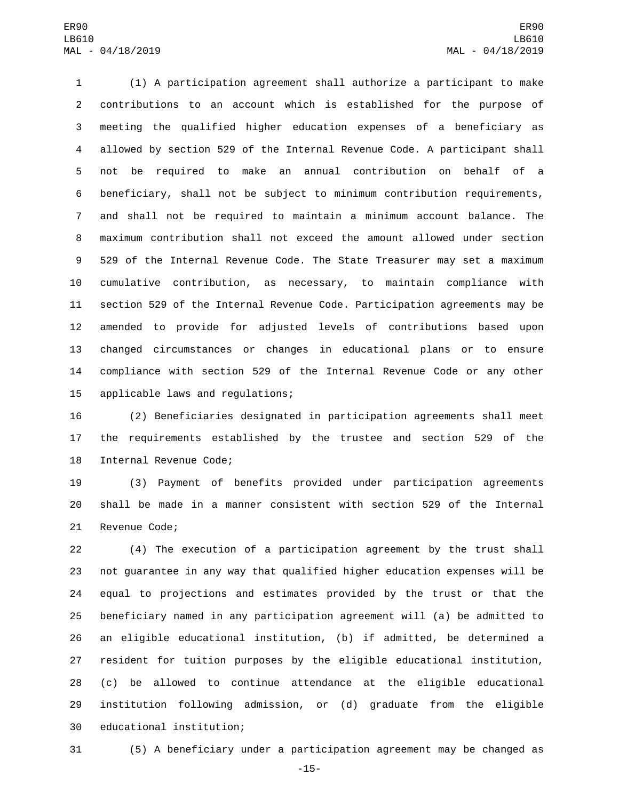(1) A participation agreement shall authorize a participant to make contributions to an account which is established for the purpose of meeting the qualified higher education expenses of a beneficiary as allowed by section 529 of the Internal Revenue Code. A participant shall not be required to make an annual contribution on behalf of a beneficiary, shall not be subject to minimum contribution requirements, and shall not be required to maintain a minimum account balance. The maximum contribution shall not exceed the amount allowed under section 529 of the Internal Revenue Code. The State Treasurer may set a maximum cumulative contribution, as necessary, to maintain compliance with section 529 of the Internal Revenue Code. Participation agreements may be amended to provide for adjusted levels of contributions based upon changed circumstances or changes in educational plans or to ensure compliance with section 529 of the Internal Revenue Code or any other 15 applicable laws and regulations;

 (2) Beneficiaries designated in participation agreements shall meet the requirements established by the trustee and section 529 of the 18 Internal Revenue Code;

 (3) Payment of benefits provided under participation agreements shall be made in a manner consistent with section 529 of the Internal 21 Revenue Code;

 (4) The execution of a participation agreement by the trust shall not guarantee in any way that qualified higher education expenses will be equal to projections and estimates provided by the trust or that the beneficiary named in any participation agreement will (a) be admitted to an eligible educational institution, (b) if admitted, be determined a resident for tuition purposes by the eligible educational institution, (c) be allowed to continue attendance at the eligible educational institution following admission, or (d) graduate from the eligible 30 educational institution;

(5) A beneficiary under a participation agreement may be changed as

-15-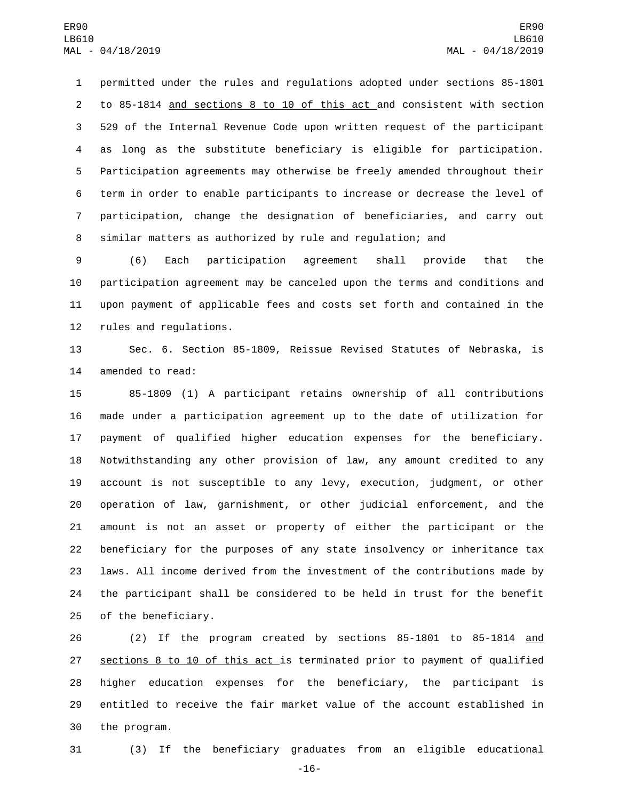permitted under the rules and regulations adopted under sections 85-1801 to 85-1814 and sections 8 to 10 of this act and consistent with section 529 of the Internal Revenue Code upon written request of the participant as long as the substitute beneficiary is eligible for participation. Participation agreements may otherwise be freely amended throughout their term in order to enable participants to increase or decrease the level of participation, change the designation of beneficiaries, and carry out similar matters as authorized by rule and regulation; and

 (6) Each participation agreement shall provide that the participation agreement may be canceled upon the terms and conditions and upon payment of applicable fees and costs set forth and contained in the 12 rules and regulations.

 Sec. 6. Section 85-1809, Reissue Revised Statutes of Nebraska, is 14 amended to read:

 85-1809 (1) A participant retains ownership of all contributions made under a participation agreement up to the date of utilization for payment of qualified higher education expenses for the beneficiary. Notwithstanding any other provision of law, any amount credited to any account is not susceptible to any levy, execution, judgment, or other operation of law, garnishment, or other judicial enforcement, and the amount is not an asset or property of either the participant or the beneficiary for the purposes of any state insolvency or inheritance tax laws. All income derived from the investment of the contributions made by the participant shall be considered to be held in trust for the benefit 25 of the beneficiary.

 (2) If the program created by sections 85-1801 to 85-1814 and sections 8 to 10 of this act is terminated prior to payment of qualified higher education expenses for the beneficiary, the participant is entitled to receive the fair market value of the account established in 30 the program.

(3) If the beneficiary graduates from an eligible educational

-16-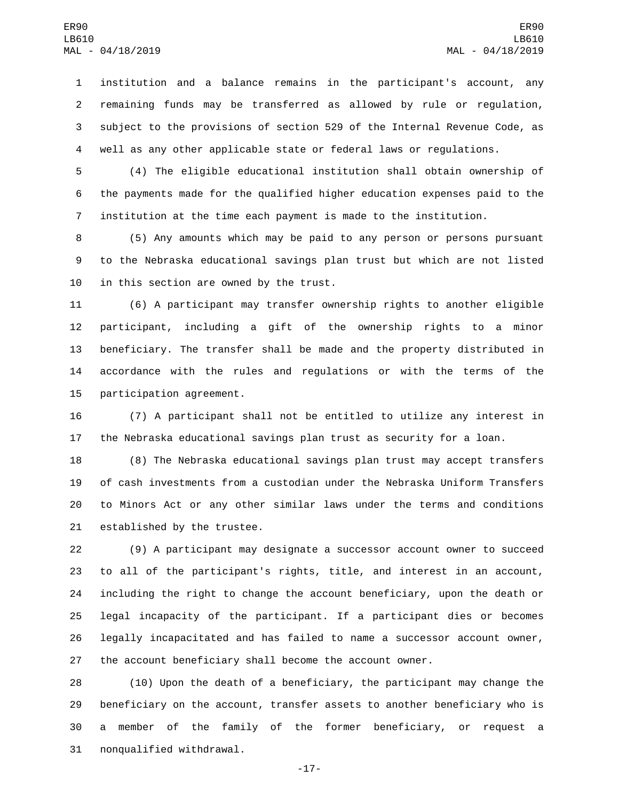institution and a balance remains in the participant's account, any remaining funds may be transferred as allowed by rule or regulation, subject to the provisions of section 529 of the Internal Revenue Code, as well as any other applicable state or federal laws or regulations.

 (4) The eligible educational institution shall obtain ownership of the payments made for the qualified higher education expenses paid to the institution at the time each payment is made to the institution.

 (5) Any amounts which may be paid to any person or persons pursuant to the Nebraska educational savings plan trust but which are not listed 10 in this section are owned by the trust.

 (6) A participant may transfer ownership rights to another eligible participant, including a gift of the ownership rights to a minor beneficiary. The transfer shall be made and the property distributed in accordance with the rules and regulations or with the terms of the 15 participation agreement.

 (7) A participant shall not be entitled to utilize any interest in the Nebraska educational savings plan trust as security for a loan.

 (8) The Nebraska educational savings plan trust may accept transfers of cash investments from a custodian under the Nebraska Uniform Transfers to Minors Act or any other similar laws under the terms and conditions 21 established by the trustee.

 (9) A participant may designate a successor account owner to succeed to all of the participant's rights, title, and interest in an account, including the right to change the account beneficiary, upon the death or legal incapacity of the participant. If a participant dies or becomes legally incapacitated and has failed to name a successor account owner, the account beneficiary shall become the account owner.

 (10) Upon the death of a beneficiary, the participant may change the beneficiary on the account, transfer assets to another beneficiary who is a member of the family of the former beneficiary, or request a 31 nonqualified withdrawal.

-17-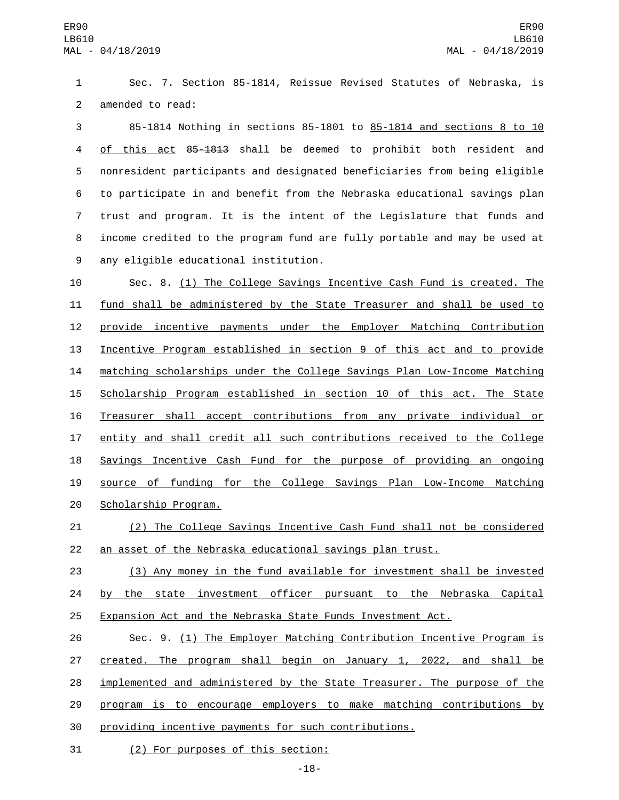Sec. 7. Section 85-1814, Reissue Revised Statutes of Nebraska, is 2 amended to read:

 85-1814 Nothing in sections 85-1801 to 85-1814 and sections 8 to 10 of this act 85-1813 shall be deemed to prohibit both resident and nonresident participants and designated beneficiaries from being eligible to participate in and benefit from the Nebraska educational savings plan trust and program. It is the intent of the Legislature that funds and income credited to the program fund are fully portable and may be used at 9 any eligible educational institution.

 Sec. 8. (1) The College Savings Incentive Cash Fund is created. The fund shall be administered by the State Treasurer and shall be used to provide incentive payments under the Employer Matching Contribution Incentive Program established in section 9 of this act and to provide matching scholarships under the College Savings Plan Low-Income Matching Scholarship Program established in section 10 of this act. The State Treasurer shall accept contributions from any private individual or entity and shall credit all such contributions received to the College 18 Savings Incentive Cash Fund for the purpose of providing an ongoing source of funding for the College Savings Plan Low-Income Matching 20 Scholarship Program.

 (2) The College Savings Incentive Cash Fund shall not be considered an asset of the Nebraska educational savings plan trust.

 (3) Any money in the fund available for investment shall be invested 24 by the state investment officer pursuant to the Nebraska Capital Expansion Act and the Nebraska State Funds Investment Act.

26 Sec. 9. (1) The Employer Matching Contribution Incentive Program is created. The program shall begin on January 1, 2022, and shall be implemented and administered by the State Treasurer. The purpose of the program is to encourage employers to make matching contributions by providing incentive payments for such contributions.

31 (2) For purposes of this section:

-18-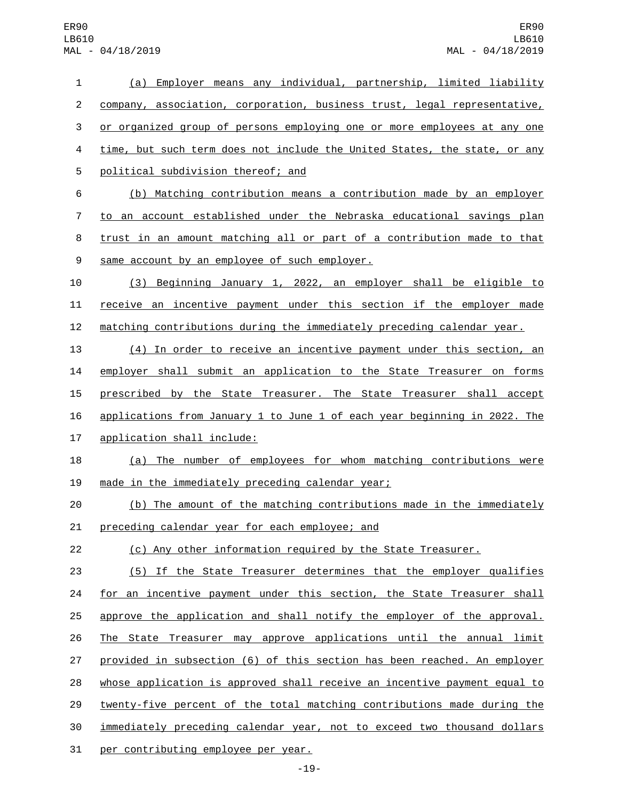| $\mathbf{1}$            | (a) Employer means any individual, partnership, limited liability         |
|-------------------------|---------------------------------------------------------------------------|
| $\overline{c}$          | company, association, corporation, business trust, legal representative,  |
| 3                       | or organized group of persons employing one or more employees at any one  |
| $\overline{\mathbf{4}}$ | time, but such term does not include the United States, the state, or any |
| 5                       | political subdivision thereof; and                                        |
| 6                       | (b) Matching contribution means a contribution made by an employer        |
| $\overline{7}$          | to an account established under the Nebraska educational savings plan     |
| 8                       | trust in an amount matching all or part of a contribution made to that    |
| 9                       | same account by an employee of such employer.                             |
| 10                      | (3) Beginning January 1, 2022, an employer shall be eligible to           |
| 11                      | receive an incentive payment under this section if the employer made      |
| 12                      | matching contributions during the immediately preceding calendar year.    |
| 13                      | (4) In order to receive an incentive payment under this section, an       |
| 14                      | employer shall submit an application to the State Treasurer on forms      |
| 15                      | prescribed by the State Treasurer. The State Treasurer shall accept       |
| 16                      | applications from January 1 to June 1 of each year beginning in 2022. The |
| 17                      | application shall include:                                                |
| 18                      | (a) The number of employees for whom matching contributions were          |
| 19                      | made in the immediately preceding calendar year;                          |
| 20                      | (b) The amount of the matching contributions made in the immediately      |
| 21                      | preceding calendar year for each employee; and                            |
| 22                      | (c) Any other information required by the State Treasurer.                |
| 23                      | (5) If the State Treasurer determines that the employer qualifies         |
| 24                      | for an incentive payment under this section, the State Treasurer shall    |
| 25                      | approve the application and shall notify the employer of the approval.    |
| 26                      | The State Treasurer may approve applications until the annual limit       |
| 27                      | provided in subsection (6) of this section has been reached. An employer  |
| 28                      | whose application is approved shall receive an incentive payment equal to |
| 29                      | twenty-five percent of the total matching contributions made during the   |
| 30                      | immediately preceding calendar year, not to exceed two thousand dollars   |
| 31                      | per contributing employee per year.                                       |

-19-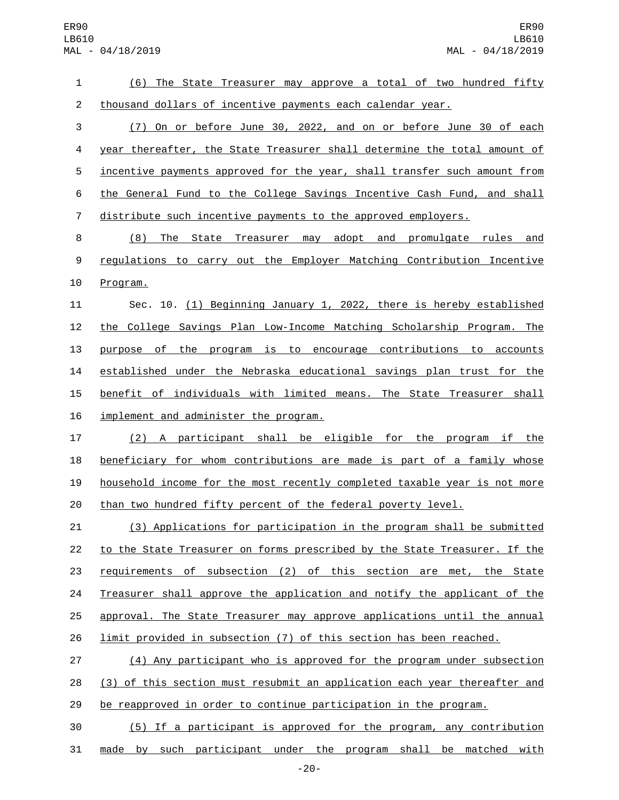| 1              | (6) The State Treasurer may approve a total of two hundred fifty          |
|----------------|---------------------------------------------------------------------------|
| $\overline{c}$ | thousand dollars of incentive payments each calendar year.                |
| 3              | On or before June 30, 2022, and on or before June 30 of each<br>(7)       |
| 4              | year thereafter, the State Treasurer shall determine the total amount of  |
| 5              | incentive payments approved for the year, shall transfer such amount from |
| 6              | the General Fund to the College Savings Incentive Cash Fund, and shall    |
| $\overline{7}$ | distribute such incentive payments to the approved employers.             |
| 8              | (8) The State Treasurer may adopt and promulgate rules and                |
| 9              | regulations to carry out the Employer Matching Contribution Incentive     |
| 10             | Program.                                                                  |
| 11             | Sec. 10. (1) Beginning January 1, 2022, there is hereby established       |
| 12             | the College Savings Plan Low-Income Matching Scholarship Program. The     |
| 13             | purpose of the program is to encourage contributions to accounts          |
| 14             | established under the Nebraska educational savings plan trust for the     |
| 15             | benefit of individuals with limited means. The State Treasurer shall      |
| 16             | implement and administer the program.                                     |
| 17             | (2) A participant shall be eligible for the program if the                |
| 18             | beneficiary for whom contributions are made is part of a family whose     |
| 19             | household income for the most recently completed taxable year is not more |
| 20             | than two hundred fifty percent of the federal poverty level.              |
| 21             | (3) Applications for participation in the program shall be submitted      |
| 22             | to the State Treasurer on forms prescribed by the State Treasurer. If the |
| 23             | requirements of subsection (2) of this section are met, the State         |
| 24             | Treasurer shall approve the application and notify the applicant of the   |
| 25             | approval. The State Treasurer may approve applications until the annual   |
| 26             | limit provided in subsection (7) of this section has been reached.        |
| 27             | (4) Any participant who is approved for the program under subsection      |
| 28             | (3) of this section must resubmit an application each year thereafter and |
| 29             | be reapproved in order to continue participation in the program.          |
| 30             | (5) If a participant is approved for the program, any contribution        |

made by such participant under the program shall be matched with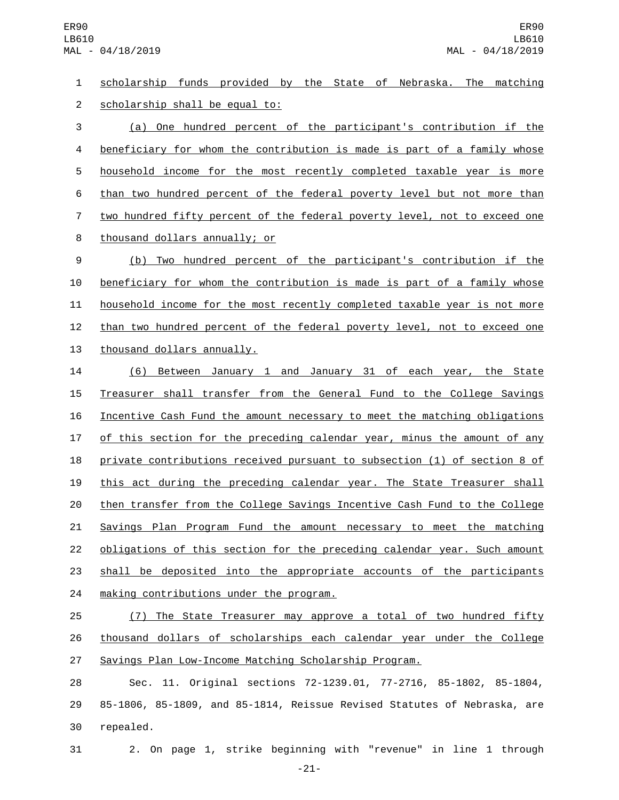scholarship funds provided by the State of Nebraska. The matching 2 scholarship shall be equal to:

 (a) One hundred percent of the participant's contribution if the beneficiary for whom the contribution is made is part of a family whose household income for the most recently completed taxable year is more than two hundred percent of the federal poverty level but not more than two hundred fifty percent of the federal poverty level, not to exceed one 8 thousand dollars annually; or

 (b) Two hundred percent of the participant's contribution if the beneficiary for whom the contribution is made is part of a family whose household income for the most recently completed taxable year is not more 12 than two hundred percent of the federal poverty level, not to exceed one 13 thousand dollars annually.

 (6) Between January 1 and January 31 of each year, the State Treasurer shall transfer from the General Fund to the College Savings Incentive Cash Fund the amount necessary to meet the matching obligations of this section for the preceding calendar year, minus the amount of any private contributions received pursuant to subsection (1) of section 8 of this act during the preceding calendar year. The State Treasurer shall then transfer from the College Savings Incentive Cash Fund to the College Savings Plan Program Fund the amount necessary to meet the matching obligations of this section for the preceding calendar year. Such amount shall be deposited into the appropriate accounts of the participants 24 making contributions under the program.

 (7) The State Treasurer may approve a total of two hundred fifty thousand dollars of scholarships each calendar year under the College Savings Plan Low-Income Matching Scholarship Program.

 Sec. 11. Original sections 72-1239.01, 77-2716, 85-1802, 85-1804, 85-1806, 85-1809, and 85-1814, Reissue Revised Statutes of Nebraska, are 30 repealed.

2. On page 1, strike beginning with "revenue" in line 1 through